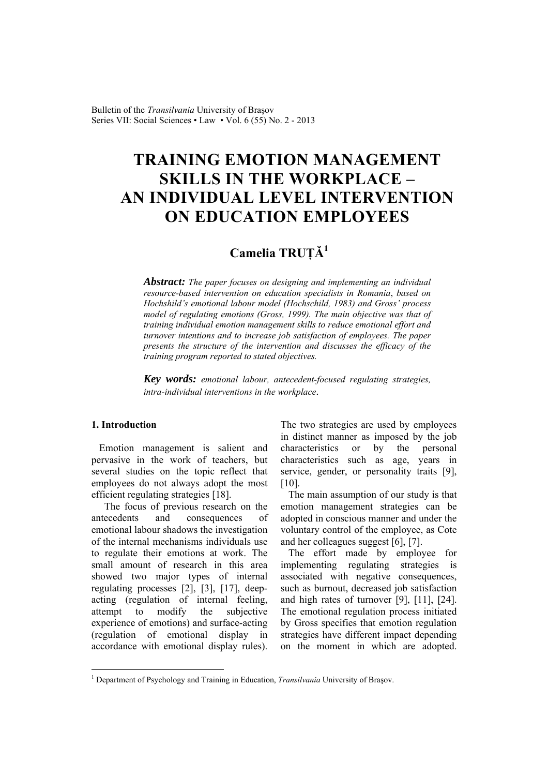Bulletin of the *Transilvania* University of Braşov Series VII: Social Sciences • Law • Vol. 6 (55) No. 2 - 2013

# **TRAINING EMOTION MANAGEMENT SKILLS IN THE WORKPLACE – AN INDIVIDUAL LEVEL INTERVENTION ON EDUCATION EMPLOYEES**

# **Camelia TRUŢĂ<sup>1</sup>**

*Abstract: The paper focuses on designing and implementing an individual resource-based intervention on education specialists in Romania*, *based on Hochshild's emotional labour model (Hochschild, 1983) and Gross' process model of regulating emotions (Gross, 1999). The main objective was that of training individual emotion management skills to reduce emotional effort and turnover intentions and to increase job satisfaction of employees. The paper presents the structure of the intervention and discusses the efficacy of the training program reported to stated objectives.* 

*Key words: emotional labour, antecedent-focused regulating strategies, intra-individual interventions in the workplace*.

#### **1. Introduction**

 $\overline{a}$ 

Emotion management is salient and pervasive in the work of teachers, but several studies on the topic reflect that employees do not always adopt the most efficient regulating strategies [18].

 The focus of previous research on the antecedents and consequences of emotional labour shadows the investigation of the internal mechanisms individuals use to regulate their emotions at work. The small amount of research in this area showed two major types of internal regulating processes [2], [3], [17], deepacting (regulation of internal feeling, attempt to modify the subjective experience of emotions) and surface-acting (regulation of emotional display in accordance with emotional display rules). The two strategies are used by employees in distinct manner as imposed by the job characteristics or by the personal characteristics such as age, years in service, gender, or personality traits [9], [10].

The main assumption of our study is that emotion management strategies can be adopted in conscious manner and under the voluntary control of the employee, as Cote and her colleagues suggest [6], [7].

The effort made by employee for implementing regulating strategies is associated with negative consequences, such as burnout, decreased job satisfaction and high rates of turnover [9], [11], [24]. The emotional regulation process initiated by Gross specifies that emotion regulation strategies have different impact depending on the moment in which are adopted.

<sup>&</sup>lt;sup>1</sup> Department of Psychology and Training in Education, *Transilvania* University of Brașov.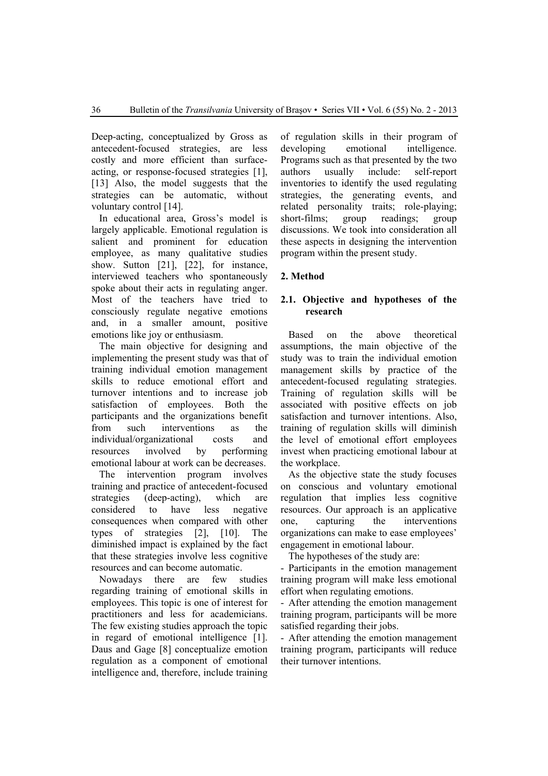Deep-acting, conceptualized by Gross as antecedent-focused strategies, are less costly and more efficient than surfaceacting, or response-focused strategies [1], [13] Also, the model suggests that the strategies can be automatic, without voluntary control [14].

In educational area, Gross's model is largely applicable. Emotional regulation is salient and prominent for education employee, as many qualitative studies show. Sutton [21], [22], for instance, interviewed teachers who spontaneously spoke about their acts in regulating anger. Most of the teachers have tried to consciously regulate negative emotions and, in a smaller amount, positive emotions like joy or enthusiasm.

The main objective for designing and implementing the present study was that of training individual emotion management skills to reduce emotional effort and turnover intentions and to increase job satisfaction of employees. Both the participants and the organizations benefit from such interventions as the individual/organizational costs and resources involved by performing emotional labour at work can be decreases.

The intervention program involves training and practice of antecedent-focused strategies (deep-acting), which are considered to have less negative consequences when compared with other types of strategies [2], [10]. The diminished impact is explained by the fact that these strategies involve less cognitive resources and can become automatic.

Nowadays there are few studies regarding training of emotional skills in employees. This topic is one of interest for practitioners and less for academicians. The few existing studies approach the topic in regard of emotional intelligence [1]. Daus and Gage [8] conceptualize emotion regulation as a component of emotional intelligence and, therefore, include training

of regulation skills in their program of developing emotional intelligence. Programs such as that presented by the two authors usually include: self-report inventories to identify the used regulating strategies, the generating events, and related personality traits; role-playing; short-films; group readings; group discussions. We took into consideration all these aspects in designing the intervention program within the present study.

## **2. Method**

#### **2.1. Objective and hypotheses of the research**

Based on the above theoretical assumptions, the main objective of the study was to train the individual emotion management skills by practice of the antecedent-focused regulating strategies. Training of regulation skills will be associated with positive effects on job satisfaction and turnover intentions. Also, training of regulation skills will diminish the level of emotional effort employees invest when practicing emotional labour at the workplace.

As the objective state the study focuses on conscious and voluntary emotional regulation that implies less cognitive resources. Our approach is an applicative one, capturing the interventions organizations can make to ease employees' engagement in emotional labour.

The hypotheses of the study are:

- Participants in the emotion management training program will make less emotional effort when regulating emotions.

- After attending the emotion management training program, participants will be more satisfied regarding their jobs.

- After attending the emotion management training program, participants will reduce their turnover intentions.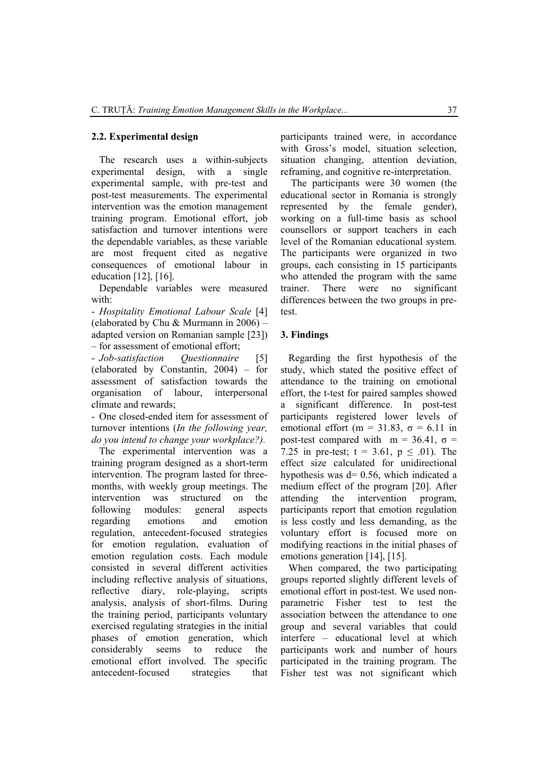#### **2.2. Experimental design**

The research uses a within-subjects experimental design, with a single experimental sample, with pre-test and post-test measurements. The experimental intervention was the emotion management training program. Emotional effort, job satisfaction and turnover intentions were the dependable variables, as these variable are most frequent cited as negative consequences of emotional labour in education [12], [16].

Dependable variables were measured with:

- *Hospitality Emotional Labour Scale* [4] (elaborated by Chu & Murmann in 2006) – adapted version on Romanian sample [23]) – for assessment of emotional effort;

- *Job-satisfaction Questionnaire* [5] (elaborated by Constantin, 2004) – for assessment of satisfaction towards the organisation of labour, interpersonal climate and rewards;

- One closed-ended item for assessment of turnover intentions (*In the following year, do you intend to change your workplace?).*

The experimental intervention was a training program designed as a short-term intervention. The program lasted for threemonths, with weekly group meetings. The intervention was structured on the following modules: general aspects regarding emotions and emotion regulation, antecedent-focused strategies for emotion regulation, evaluation of emotion regulation costs. Each module consisted in several different activities including reflective analysis of situations, reflective diary, role-playing, scripts analysis, analysis of short-films. During the training period, participants voluntary exercised regulating strategies in the initial phases of emotion generation, which considerably seems to reduce the emotional effort involved. The specific antecedent-focused strategies that participants trained were, in accordance with Gross's model, situation selection, situation changing, attention deviation, reframing, and cognitive re-interpretation.

 The participants were 30 women (the educational sector in Romania is strongly represented by the female gender), working on a full-time basis as school counsellors or support teachers in each level of the Romanian educational system. The participants were organized in two groups, each consisting in 15 participants who attended the program with the same trainer. There were no significant differences between the two groups in pretest.

#### **3. Findings**

Regarding the first hypothesis of the study, which stated the positive effect of attendance to the training on emotional effort, the t-test for paired samples showed a significant difference. In post-test participants registered lower levels of emotional effort (m = 31.83,  $\sigma$  = 6.11 in post-test compared with  $m = 36.41$ ,  $\sigma =$ 7.25 in pre-test;  $t = 3.61$ ,  $p \le .01$ ). The effect size calculated for unidirectional hypothesis was d= 0.56, which indicated a medium effect of the program [20]. After attending the intervention program, participants report that emotion regulation is less costly and less demanding, as the voluntary effort is focused more on modifying reactions in the initial phases of emotions generation [14], [15].

When compared, the two participating groups reported slightly different levels of emotional effort in post-test. We used nonparametric Fisher test to test the association between the attendance to one group and several variables that could interfere – educational level at which participants work and number of hours participated in the training program. The Fisher test was not significant which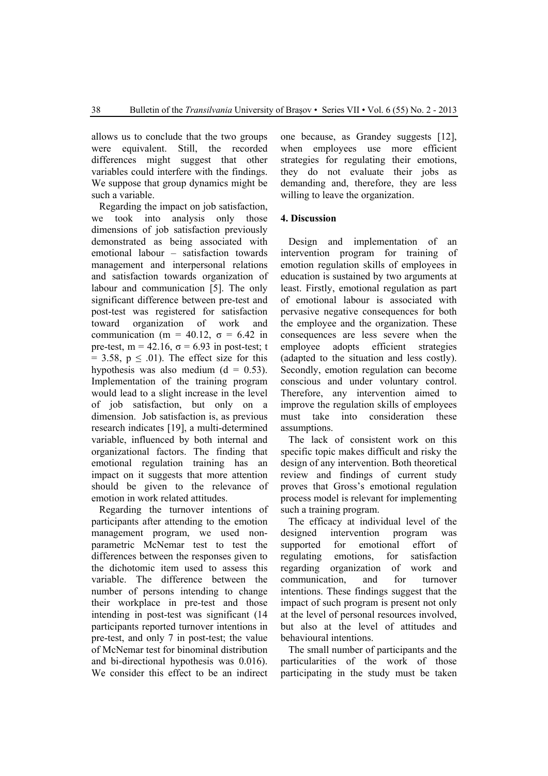allows us to conclude that the two groups were equivalent. Still, the recorded differences might suggest that other variables could interfere with the findings. We suppose that group dynamics might be such a variable.

Regarding the impact on job satisfaction, we took into analysis only those dimensions of job satisfaction previously demonstrated as being associated with emotional labour – satisfaction towards management and interpersonal relations and satisfaction towards organization of labour and communication [5]. The only significant difference between pre-test and post-test was registered for satisfaction toward organization of work and communication (m = 40.12,  $\sigma$  = 6.42 in pre-test, m =  $42.16$ ,  $\sigma = 6.93$  in post-test; t  $= 3.58$ ,  $p \leq .01$ ). The effect size for this hypothesis was also medium  $(d = 0.53)$ . Implementation of the training program would lead to a slight increase in the level of job satisfaction, but only on a dimension. Job satisfaction is, as previous research indicates [19], a multi-determined variable, influenced by both internal and organizational factors. The finding that emotional regulation training has an impact on it suggests that more attention should be given to the relevance of emotion in work related attitudes.

Regarding the turnover intentions of participants after attending to the emotion management program, we used nonparametric McNemar test to test the differences between the responses given to the dichotomic item used to assess this variable. The difference between the number of persons intending to change their workplace in pre-test and those intending in post-test was significant (14 participants reported turnover intentions in pre-test, and only 7 in post-test; the value of McNemar test for binominal distribution and bi-directional hypothesis was 0.016). We consider this effect to be an indirect

one because, as Grandey suggests [12], when employees use more efficient strategies for regulating their emotions, they do not evaluate their jobs as demanding and, therefore, they are less willing to leave the organization.

### **4. Discussion**

Design and implementation of an intervention program for training of emotion regulation skills of employees in education is sustained by two arguments at least. Firstly, emotional regulation as part of emotional labour is associated with pervasive negative consequences for both the employee and the organization. These consequences are less severe when the employee adopts efficient strategies (adapted to the situation and less costly). Secondly, emotion regulation can become conscious and under voluntary control. Therefore, any intervention aimed to improve the regulation skills of employees must take into consideration these assumptions.

The lack of consistent work on this specific topic makes difficult and risky the design of any intervention. Both theoretical review and findings of current study proves that Gross's emotional regulation process model is relevant for implementing such a training program.

The efficacy at individual level of the designed intervention program was supported for emotional effort of regulating emotions, for satisfaction regarding organization of work and communication, and for turnover intentions. These findings suggest that the impact of such program is present not only at the level of personal resources involved, but also at the level of attitudes and behavioural intentions.

The small number of participants and the particularities of the work of those participating in the study must be taken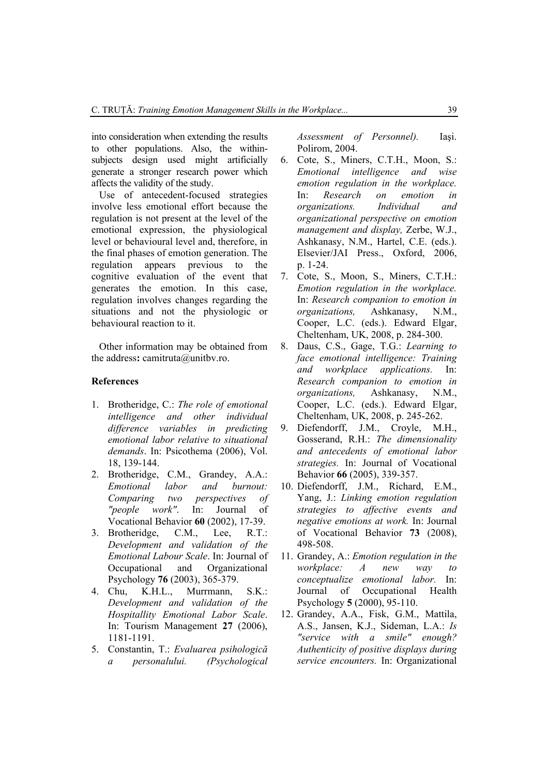into consideration when extending the results to other populations. Also, the withinsubjects design used might artificially generate a stronger research power which affects the validity of the study.

Use of antecedent-focused strategies involve less emotional effort because the regulation is not present at the level of the emotional expression, the physiological level or behavioural level and, therefore, in the final phases of emotion generation. The regulation appears previous to the cognitive evaluation of the event that generates the emotion. In this case, regulation involves changes regarding the situations and not the physiologic or behavioural reaction to it.

Other information may be obtained from the address: camitruta@unitbv.ro.

#### **References**

- 1. Brotheridge, C.: *The role of emotional intelligence and other individual difference variables in predicting emotional labor relative to situational demands*. In: Psicothema (2006), Vol. 18, 139-144.
- 2. Brotheridge, C.M., Grandey, A.A.: *Emotional labor and burnout: Comparing two perspectives of "people work"*. In: Journal of Vocational Behavior **60** (2002), 17-39.
- 3. Brotheridge, C.M., Lee, R.T.: *Development and validation of the Emotional Labour Scale*. In: Journal of Occupational and Organizational Psychology **76** (2003), 365-379.
- 4. Chu, K.H.L., Murrmann, S.K.: *Development and validation of the Hospitallity Emotional Labor Scale*. In: Tourism Management **27** (2006), 1181-1191.
- 5. Constantin, T.: *Evaluarea psihologică a personalului. (Psychological*

*Assessment of Personnel).* Iaşi. Polirom, 2004.

- 6. Cote, S., Miners, C.T.H., Moon, S.: *Emotional intelligence and wise emotion regulation in the workplace.* In: *Research on emotion in organizations. Individual and organizational perspective on emotion management and display,* Zerbe, W.J., Ashkanasy, N.M., Hartel, C.E. (eds.). Elsevier/JAI Press., Oxford, 2006, p. 1-24.
- 7. Cote, S., Moon, S., Miners, C.T.H.: *Emotion regulation in the workplace.* In: *Research companion to emotion in organizations,* Ashkanasy, N.M., Cooper, L.C. (eds.). Edward Elgar, Cheltenham, UK, 2008, p. 284-300.
- 8. Daus, C.S., Gage, T.G.: *Learning to face emotional intelligence: Training and workplace applications.* In: *Research companion to emotion in organizations,* Ashkanasy, N.M., Cooper, L.C. (eds.). Edward Elgar, Cheltenham, UK, 2008, p. 245-262.
- 9. Diefendorff, J.M., Croyle, M.H., Gosserand, R.H.: *The dimensionality and antecedents of emotional labor strategies.* In: Journal of Vocational Behavior **66** (2005), 339-357.
- 10. Diefendorff, J.M., Richard, E.M., Yang, J.: *Linking emotion regulation strategies to affective events and negative emotions at work.* In: Journal of Vocational Behavior **73** (2008), 498-508.
- 11. Grandey, A.: *Emotion regulation in the workplace: A new way to conceptualize emotional labor.* In: Journal of Occupational Health Psychology **5** (2000), 95-110.
- 12. Grandey, A.A., Fisk, G.M., Mattila, A.S., Jansen, K.J., Sideman, L.A.: *Is "service with a smile" enough? Authenticity of positive displays during service encounters.* In: Organizational